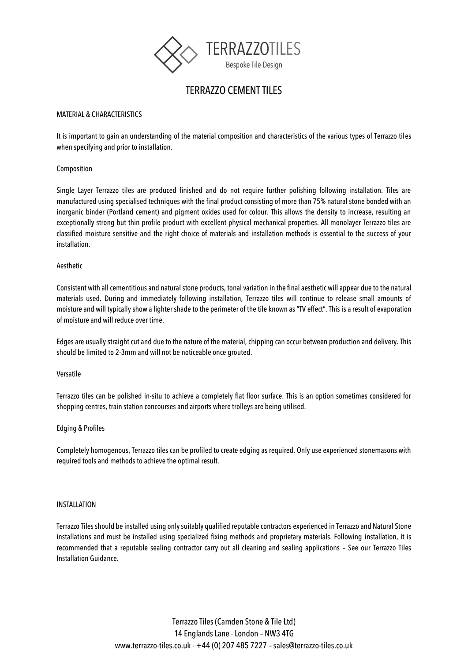

# TERRAZZO CEMENT TILES

# MATERIAL & CHARACTERISTICS

It is important to gain an understanding of the material composition and characteristics of the various types of Terrazzo tiles when specifying and prior to installation.

# Composition

Single Layer Terrazzo tiles are produced finished and do not require further polishing following installation. Tiles are manufactured using specialised techniques with the final product consisting of more than 75% natural stone bonded with an inorganic binder (Portland cement) and pigment oxides used for colour. This allows the density to increase, resulting an exceptionally strong but thin profile product with excellent physical mechanical properties. All monolayer Terrazzo tiles are classified moisture sensitive and the right choice of materials and installation methods is essential to the success of your installation.

#### Aesthetic

Consistent with all cementitious and natural stone products, tonal variation in the final aesthetic will appear due to the natural materials used. During and immediately following installation, Terrazzo tiles will continue to release small amounts of moisture and will typically show a lighter shade to the perimeter of the tile known as "TV effect". This is a result of evaporation of moisture and will reduce over time.

Edges are usually straight cut and due to the nature of the material, chipping can occur between production and delivery. This should be limited to 2-3mm and will not be noticeable once grouted.

#### Versatile

Terrazzo tiles can be polished in-situ to achieve a completely flat floor surface. This is an option sometimes considered for shopping centres, train station concourses and airports where trolleys are being utilised.

#### Edging & Profiles

Completely homogenous, Terrazzo tiles can be profiled to create edging as required. Only use experienced stonemasons with required tools and methods to achieve the optimal result.

#### INSTALLATION

Terrazzo Tiles should be installed using only suitably qualified reputable contractors experienced in Terrazzo and Natural Stone installations and must be installed using specialized fixing methods and proprietary materials. Following installation, it is recommended that a reputable sealing contractor carry out all cleaning and sealing applications – See our Terrazzo Tiles Installation Guidance.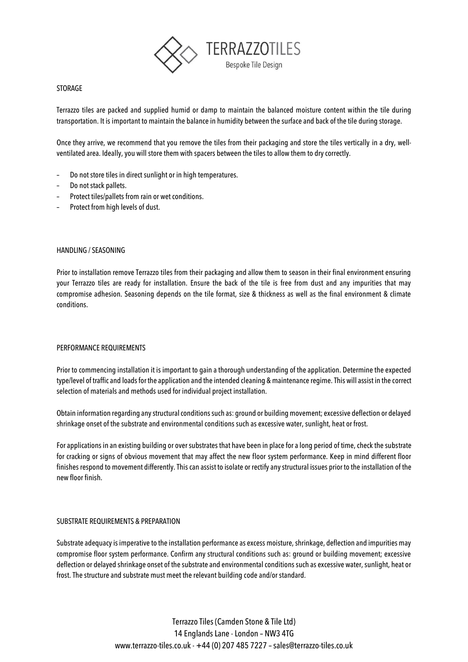

# STORAGE

Terrazzo tiles are packed and supplied humid or damp to maintain the balanced moisture content within the tile during transportation. It is important to maintain the balance in humidity between the surface and back of the tile during storage.

Once they arrive, we recommend that you remove the tiles from their packaging and store the tiles vertically in a dry, wellventilated area. Ideally, you will store them with spacers between the tiles to allow them to dry correctly.

- Do not store tiles in direct sunlight or in high temperatures.
- Do not stack pallets.
- Protect tiles/pallets from rain or wet conditions.
- Protect from high levels of dust.

#### HANDLING / SEASONING

Prior to installation remove Terrazzo tiles from their packaging and allow them to season in their final environment ensuring your Terrazzo tiles are ready for installation. Ensure the back of the tile is free from dust and any impurities that may compromise adhesion. Seasoning depends on the tile format, size & thickness as well as the final environment & climate conditions.

#### PERFORMANCE REQUIREMENTS

Prior to commencing installation it is important to gain a thorough understanding of the application. Determine the expected type/level of traffic and loads for the application and the intended cleaning & maintenance regime. This will assist in the correct selection of materials and methods used for individual project installation.

Obtain information regarding any structural conditions such as: ground or building movement; excessive deflection or delayed shrinkage onset of the substrate and environmental conditions such as excessive water, sunlight, heat or frost.

For applications in an existing building or over substrates that have been in place for a long period of time, check the substrate for cracking or signs of obvious movement that may affect the new floor system performance. Keep in mind different floor finishes respond to movement differently. This can assist to isolate or rectify any structural issues prior to the installation of the new floor finish.

#### SUBSTRATE REQUIREMENTS & PREPARATION

Substrate adequacy is imperative to the installation performance as excess moisture, shrinkage, deflection and impurities may compromise floor system performance. Confirm any structural conditions such as: ground or building movement; excessive deflection or delayed shrinkage onset of the substrate and environmental conditions such as excessive water, sunlight, heat or frost. The structure and substrate must meet the relevant building code and/or standard.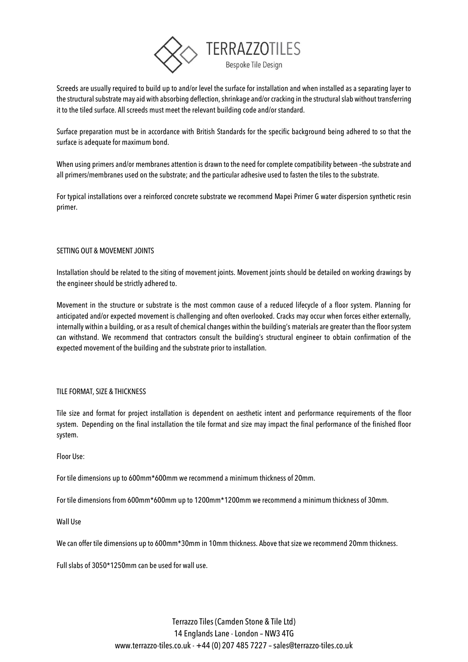

Screeds are usually required to build up to and/or level the surface for installation and when installed as a separating layer to the structural substrate may aid with absorbing deflection, shrinkage and/or cracking in the structural slab without transferring it to the tiled surface. All screeds must meet the relevant building code and/or standard.

Surface preparation must be in accordance with British Standards for the specific background being adhered to so that the surface is adequate for maximum bond.

When using primers and/or membranes attention is drawn to the need for complete compatibility between -the substrate and all primers/membranes used on the substrate; and the particular adhesive used to fasten the tiles to the substrate.

For typical installations over a reinforced concrete substrate we recommend Mapei Primer G water dispersion synthetic resin primer.

# SETTING OUT & MOVEMENT JOINTS

Installation should be related to the siting of movement joints. Movement joints should be detailed on working drawings by the engineer should be strictly adhered to.

Movement in the structure or substrate is the most common cause of a reduced lifecycle of a floor system. Planning for anticipated and/or expected movement is challenging and often overlooked. Cracks may occur when forces either externally, internally within a building, or as a result of chemical changes within the building's materials are greater than the floor system can withstand. We recommend that contractors consult the building's structural engineer to obtain confirmation of the expected movement of the building and the substrate prior to installation.

# TILE FORMAT, SIZE & THICKNESS

Tile size and format for project installation is dependent on aesthetic intent and performance requirements of the floor system. Depending on the final installation the tile format and size may impact the final performance of the finished floor system.

Floor Use:

For tile dimensions up to 600mm\*600mm we recommend a minimum thickness of 20mm.

For tile dimensions from 600mm\*600mm up to 1200mm\*1200mm we recommend a minimum thickness of 30mm.

Wall Use

We can offer tile dimensions up to 600mm\*30mm in 10mm thickness. Above that size we recommend 20mm thickness.

Full slabs of 3050\*1250mm can be used for wall use.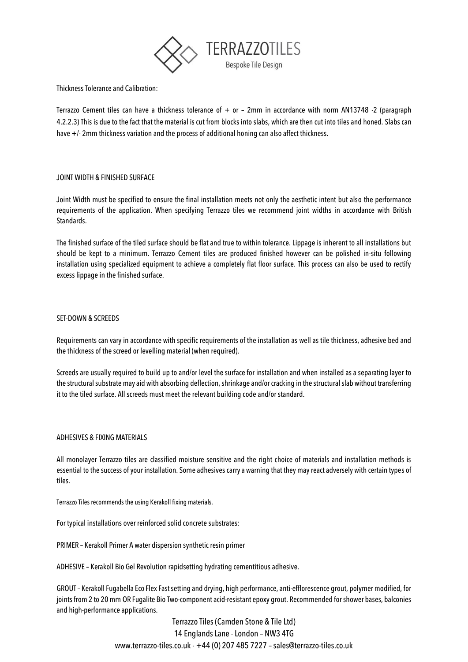

Thickness Tolerance and Calibration:

Terrazzo Cement tiles can have a thickness tolerance of  $+$  or – 2mm in accordance with norm AN13748 -2 (paragraph 4.2.2.3) This is due to the fact that the material is cut from blocks into slabs, which are then cut into tiles and honed. Slabs can have +/- 2mm thickness variation and the process of additional honing can also affect thickness.

# JOINT WIDTH & FINISHED SURFACE

Joint Width must be specified to ensure the final installation meets not only the aesthetic intent but also the performance requirements of the application. When specifying Terrazzo tiles we recommend joint widths in accordance with British Standards.

The finished surface of the tiled surface should be flat and true to within tolerance. Lippage is inherent to all installations but should be kept to a minimum. Terrazzo Cement tiles are produced finished however can be polished in-situ following installation using specialized equipment to achieve a completely flat floor surface. This process can also be used to rectify excess lippage in the finished surface.

#### SET-DOWN & SCREEDS

Requirements can vary in accordance with specific requirements of the installation as well as tile thickness, adhesive bed and the thickness of the screed or levelling material (when required).

Screeds are usually required to build up to and/or level the surface for installation and when installed as a separating layer to the structural substrate may aid with absorbing deflection, shrinkage and/or cracking in the structural slab without transferring it to the tiled surface. All screeds must meet the relevant building code and/or standard.

#### ADHESIVES & FIXING MATERIALS

All monolayer Terrazzo tiles are classified moisture sensitive and the right choice of materials and installation methods is essential to the success of your installation. Some adhesives carry a warning that they may react adversely with certain types of tiles.

Terrazzo Tiles recommends the using Kerakoll fixing materials.

For typical installations over reinforced solid concrete substrates:

PRIMER – Kerakoll Primer A water dispersion synthetic resin primer

ADHESIVE – Kerakoll Bio Gel Revolution rapidsetting hydrating cementitious adhesive.

GROUT– Kerakoll Fugabella Eco Flex Fast setting and drying, high performance, anti-efflorescence grout, polymer modified, for joints from 2 to 20 mm OR Fugalite Bio Two-component acid-resistant epoxy grout. Recommended for shower bases, balconies and high-performance applications.